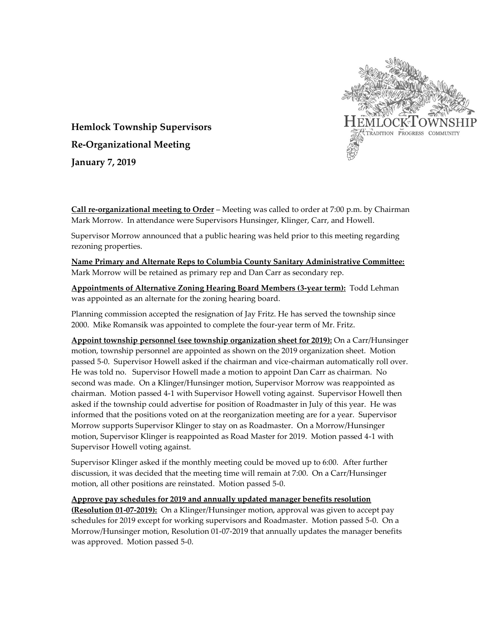

**Hemlock Township Supervisors Re-Organizational Meeting January 7, 2019**

**Call re-organizational meeting to Order** – Meeting was called to order at 7:00 p.m. by Chairman Mark Morrow. In attendance were Supervisors Hunsinger, Klinger, Carr, and Howell.

Supervisor Morrow announced that a public hearing was held prior to this meeting regarding rezoning properties.

**Name Primary and Alternate Reps to Columbia County Sanitary Administrative Committee:** Mark Morrow will be retained as primary rep and Dan Carr as secondary rep.

**Appointments of Alternative Zoning Hearing Board Members (3-year term):** Todd Lehman was appointed as an alternate for the zoning hearing board.

Planning commission accepted the resignation of Jay Fritz. He has served the township since 2000. Mike Romansik was appointed to complete the four-year term of Mr. Fritz.

**Appoint township personnel (see township organization sheet for 2019):** On a Carr/Hunsinger motion, township personnel are appointed as shown on the 2019 organization sheet. Motion passed 5-0. Supervisor Howell asked if the chairman and vice-chairman automatically roll over. He was told no. Supervisor Howell made a motion to appoint Dan Carr as chairman. No second was made. On a Klinger/Hunsinger motion, Supervisor Morrow was reappointed as chairman. Motion passed 4-1 with Supervisor Howell voting against. Supervisor Howell then asked if the township could advertise for position of Roadmaster in July of this year. He was informed that the positions voted on at the reorganization meeting are for a year. Supervisor Morrow supports Supervisor Klinger to stay on as Roadmaster. On a Morrow/Hunsinger motion, Supervisor Klinger is reappointed as Road Master for 2019. Motion passed 4-1 with Supervisor Howell voting against.

Supervisor Klinger asked if the monthly meeting could be moved up to 6:00. After further discussion, it was decided that the meeting time will remain at 7:00. On a Carr/Hunsinger motion, all other positions are reinstated. Motion passed 5-0.

## **Approve pay schedules for 2019 and annually updated manager benefits resolution**

**(Resolution 01-07-2019):** On a Klinger/Hunsinger motion, approval was given to accept pay schedules for 2019 except for working supervisors and Roadmaster. Motion passed 5-0. On a Morrow/Hunsinger motion, Resolution 01-07-2019 that annually updates the manager benefits was approved. Motion passed 5-0.